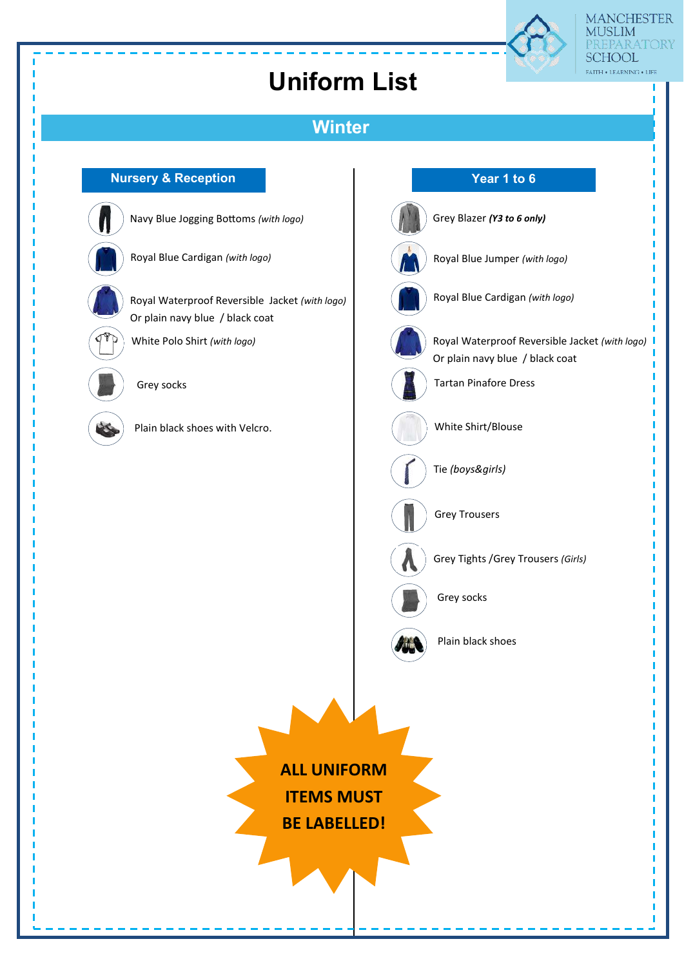

RATORY

## **Uniform List**

## **Winter**